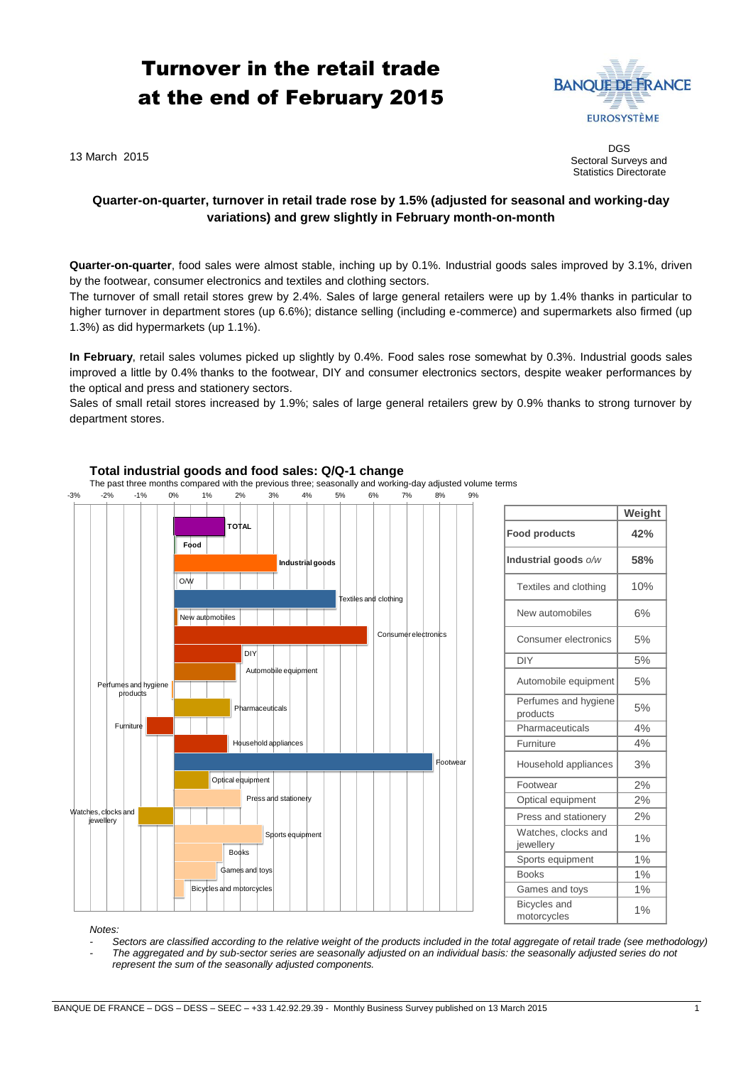# Turnover in the retail trade at the end of February 2015



13 March 2015

DGS Sectoral Surveys and Statistics Directorate

## **Quarter-on-quarter, turnover in retail trade rose by 1.5% (adjusted for seasonal and working-day variations) and grew slightly in February month-on-month**

**Quarter-on-quarter**, food sales were almost stable, inching up by 0.1%. Industrial goods sales improved by 3.1%, driven by the footwear, consumer electronics and textiles and clothing sectors.

The turnover of small retail stores grew by 2.4%. Sales of large general retailers were up by 1.4% thanks in particular to higher turnover in department stores (up 6.6%); distance selling (including e-commerce) and supermarkets also firmed (up 1.3%) as did hypermarkets (up 1.1%).

**In February**, retail sales volumes picked up slightly by 0.4%. Food sales rose somewhat by 0.3%. Industrial goods sales improved a little by 0.4% thanks to the footwear, DIY and consumer electronics sectors, despite weaker performances by the optical and press and stationery sectors.

Sales of small retail stores increased by 1.9%; sales of large general retailers grew by 0.9% thanks to strong turnover by department stores.



|                                    | Weight |
|------------------------------------|--------|
| <b>Food products</b>               | 42%    |
| Industrial goods o/w               | 58%    |
| Textiles and clothing              | 10%    |
| New automobiles                    | 6%     |
| Consumer electronics               | 5%     |
| <b>DIY</b>                         | 5%     |
| Automobile equipment               | 5%     |
| Perfumes and hygiene<br>products   | 5%     |
| Pharmaceuticals                    | 4%     |
| Furniture                          | 4%     |
| Household appliances               | 3%     |
| Footwear                           | 2%     |
| Optical equipment                  | 2%     |
| Press and stationery               | 2%     |
| Watches, clocks and<br>jewellery   | 1%     |
| Sports equipment                   | 1%     |
| <b>Books</b>                       | 1%     |
| Games and toys                     | 1%     |
| <b>Bicycles</b> and<br>motorcycles | 1%     |

*Notes:* 

*- Sectors are classified according to the relative weight of the products included in the total aggregate of retail trade (see methodology) - The aggregated and by sub-sector series are seasonally adjusted on an individual basis: the seasonally adjusted series do not represent the sum of the seasonally adjusted components.*